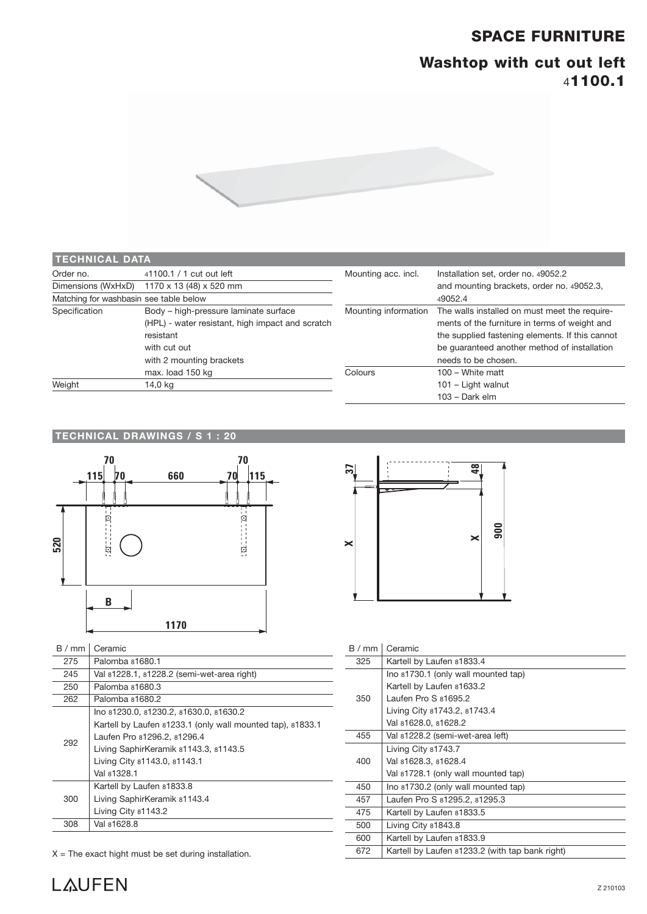### **SPACE FURNITURE**

## **Washtop with cut out left**  4**1100.1**



| <b>TECHNICAL DATA</b>                  |                                                  |                      |                                                 |
|----------------------------------------|--------------------------------------------------|----------------------|-------------------------------------------------|
| Order no.                              | 41100.1 / 1 cut out left                         | Mounting acc. incl.  | Installation set, order no. 49052.2             |
| Dimensions (WxHxD)                     | 1170 x 13 (48) x 520 mm                          |                      | and mounting brackets, order no. 49052.3,       |
| Matching for washbasin see table below |                                                  |                      | 49052.4                                         |
| Specification                          | Body - high-pressure laminate surface            | Mounting information | The walls installed on must meet the require-   |
|                                        | (HPL) - water resistant, high impact and scratch |                      | ments of the furniture in terms of weight and   |
|                                        | resistant                                        |                      | the supplied fastening elements. If this cannot |
|                                        | with cut out                                     |                      | be guaranteed another method of installation    |
|                                        | with 2 mounting brackets                         |                      | needs to be chosen.                             |
|                                        | max. load 150 kg                                 | Colours              | $100 - White$ matt                              |
| Weight                                 | 14,0 kg                                          |                      | 101 - Light walnut                              |
|                                        |                                                  |                      | $103 - Dark$ elm                                |

#### **TECHNICAL DRAWINGS / S 1 : 20**



| B/mm | Ceramic                                                    |
|------|------------------------------------------------------------|
| 275  | Palomba 81680.1                                            |
| 245  | Val 81228.1, 81228.2 (semi-wet-area right)                 |
| 250  | Palomba 81680.3                                            |
| 262  | Palomba 81680.2                                            |
| 292  | Ino 81230.0, 81230.2, 81630.0, 81630.2                     |
|      | Kartell by Laufen 81233.1 (only wall mounted tap), 81833.1 |
|      | Laufen Pro 81296.2, 81296.4                                |
|      | Living SaphirKeramik 81143.3, 81143.5                      |
|      | Living City 81143.0, 81143.1                               |
|      | Val 81328.1                                                |
| 300  | Kartell by Laufen 81833.8                                  |
|      | Living SaphirKeramik 81143.4                               |
|      | Living City 81143.2                                        |
| 308  | Val 81628.8                                                |

 $X =$  The exact hight must be set during installation.



| B/mm | Ceramic                                         |
|------|-------------------------------------------------|
| 325  | Kartell by Laufen 81833.4                       |
|      | Ino 81730.1 (only wall mounted tap)             |
| 350  | Kartell by Laufen 81633.2                       |
|      | Laufen Pro S 81695.2                            |
|      | Living City 81743.2, 81743.4                    |
|      | Val 81628.0, 81628.2                            |
| 455  | Val 81228.2 (semi-wet-area left)                |
| 400  | Living City 81743.7                             |
|      | Val 81628.3, 81628.4                            |
|      | Val 81728.1 (only wall mounted tap)             |
| 450  | Ino 81730.2 (only wall mounted tap)             |
| 457  | Laufen Pro S 81295.2, 81295.3                   |
| 475  | Kartell by Laufen 81833.5                       |
| 500  | Living City 81843.8                             |
| 600  | Kartell by Laufen 81833.9                       |
| 672  | Kartell by Laufen 81233.2 (with tap bank right) |
|      |                                                 |